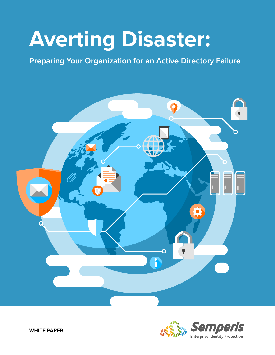# **Averting Disaster:**

**Preparing Your Organization for an Active Directory Failure**





**WHITE PAPER**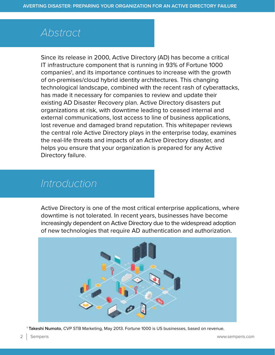### *Abstract*

Since its release in 2000, Active Directory (AD) has become a critical IT infrastructure component that is running in 93% of Fortune 1000 companies<sup>1</sup>, and its importance continues to increase with the growth of on-premises/cloud hybrid identity architectures. This changing technological landscape, combined with the recent rash of cyberattacks, has made it necessary for companies to review and update their existing AD Disaster Recovery plan. Active Directory disasters put organizations at risk, with downtime leading to ceased internal and external communications, lost access to line of business applications, lost revenue and damaged brand reputation. This whitepaper reviews the central role Active Directory plays in the enterprise today, examines the real-life threats and impacts of an Active Directory disaster, and helps you ensure that your organization is prepared for any Active Directory failure.

### *Introduction*

Active Directory is one of the most critical enterprise applications, where downtime is not tolerated. In recent years, businesses have become increasingly dependent on Active Directory due to the widespread adoption of new technologies that require AD authentication and authorization.



<sup>1</sup> **Takeshi Numoto**, CVP STB Marketing, May 2013. Fortune 1000 is US businesses, based on revenue.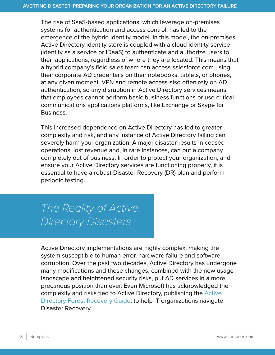The rise of SaaS-based applications, which leverage on-premises systems for authentication and access control, has led to the emergence of the hybrid identity model. In this model, the on-premises Active Directory identity store is coupled with a cloud identity service (identity as a service or IDaaS) to authenticate and authorize users to their applications, regardless of where they are located. This means that a hybrid company's field sales team can access salesforce.com using their corporate AD credentials on their notebooks, tablets, or phones, at any given moment. VPN and remote access also often rely on AD authentication, so any disruption in Active Directory services means that employees cannot perform basic business functions or use critical communications applications platforms, like Exchange or Skype for Business.

This increased dependence on Active Directory has led to greater complexity and risk, and any instance of Active Directory failing can severely harm your organization. A major disaster results in ceased operations, lost revenue and, in rare instances, can put a company completely out of business. In order to protect your organization, and ensure your Active Directory services are functioning properly, it is essential to have a robust Disaster Recovery (DR) plan and perform periodic testing.

# *The Reality of Active Directory Disasters*

Active Directory implementations are highly complex, making the system susceptible to human error, hardware failure and software corruption. Over the past two decades, Active Directory has undergone many modifications and these changes, combined with the new usage landscape and heightened security risks, put AD services in a more precarious position than ever. Even Microsoft has acknowledged the complexity and risks tied to Active Directory, publishing the [Active](https://technet.microsoft.com/en-us/library/planning-active-directory-forest-recovery(v=ws.10).aspx)  [Directory Forest Recovery Guide,](https://technet.microsoft.com/en-us/library/planning-active-directory-forest-recovery(v=ws.10).aspx) to help IT organizations navigate Disaster Recovery.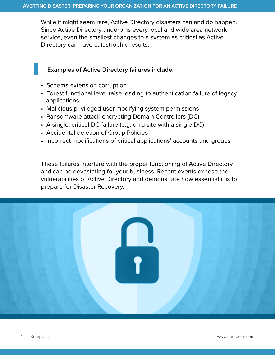While it might seem rare, Active Directory disasters can and do happen. Since Active Directory underpins every local and wide area network service, even the smallest changes to a system as critical as Active Directory can have catastrophic results.

#### **Examples of Active Directory failures include:**

- Schema extension corruption
- Forest functional level raise leading to authentication failure of legacy applications
- Malicious privileged user modifying system permissions
- Ransomware attack encrypting Domain Controllers (DC)
- A single, critical DC failure (e.g. on a site with a single DC)
- Accidental deletion of Group Policies
- Incorrect modifications of critical applications' accounts and groups

These failures interfere with the proper functioning of Active Directory and can be devastating for your business. Recent events expose the vulnerabilities of Active Directory and demonstrate how essential it is to prepare for Disaster Recovery.

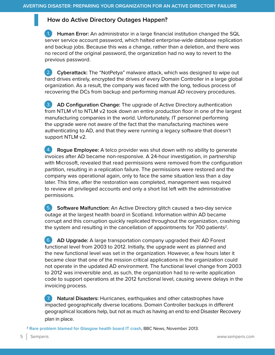#### **How do Active Directory Outages Happen?**

1. **Human Error:** An administrator in a large financial institution changed the SQL server service account password, which halted enterprise-wide database replication and backup jobs. Because this was a change, rather than a deletion, and there was no record of the original password, the organization had no way to revert to the previous password. 1.

1. **Cyberattack:** The "NotPetya" malware attack, which was designed to wipe out hard drives entirely, encrypted the drives of every Domain Controller in a large global organization. As a result, the company was faced with the long, tedious process of recovering the DCs from backup and performing manual AD recovery procedures. 2.

1. **AD Configuration Change:** The upgrade of Active Directory authentication from NTLM v1 to NTLM v2 took down an entire production floor in one of the largest manufacturing companies in the world. Unfortunately, IT personnel performing the upgrade were not aware of the fact that the manufacturing machines were authenticating to AD, and that they were running a legacy software that doesn't support NTLM v2. 3.

1. **Rogue Employee:** A telco provider was shut down with no ability to generate invoices after AD became non-responsive. A 24-hour investigation, in partnership with Microsoft, revealed that read permissions were removed from the configuration partition, resulting in a replication failure. The permissions were restored and the company was operational again, only to face the same situation less than a day later. This time, after the restoration was completed, management was required to review all privileged accounts and only a short list left with the administrative permissions. 4.

1. **Software Malfunction:** An Active Directory glitch caused a two-day service outage at the largest health board in Scotland. Information within AD became corrupt and this corruption quickly replicated throughout the organization, crashing the system and resulting in the cancellation of appointments for  $700$  patients<sup>2</sup>. 5.

1. **AD Upgrade:** A large transportation company upgraded their AD Forest functional level from 2003 to 2012. Initially, the upgrade went as planned and the new functional level was set in the organization. However, a few hours later it became clear that one of the mission critical applications in the organization could not operate in the updated AD environment. The functional level change from 2003 to 2012 was irreversible and, as such, the organization had to re-write application code to support operations at the 2012 functional level, causing severe delays in the invoicing process.  $6.$ 

1. **Natural Disasters:** Hurricanes, earthquakes and other catastrophes have impacted geographically diverse locations. Domain Controller backups in different geographical locations help, but not as much as having an end to end Disaster Recovery plan in place. 7.

<sup>2</sup> **[Rare problem blamed for Glasgow health board IT crash](http://www.bbc.com/news/uk-scotland-glasgow-west-24871333)**, BBC News, November 2013.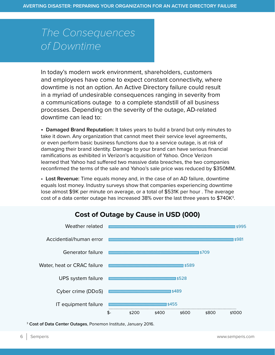# *The Consequences of Downtime*

In today's modern work environment, shareholders, customers and employees have come to expect constant connectivity, where downtime is not an option. An Active Directory failure could result in a myriad of undesirable consequences ranging in severity from a communications outage to a complete standstill of all business processes. Depending on the severity of the outage, AD-related downtime can lead to:

• **Damaged Brand Reputation:** It takes years to build a brand but only minutes to take it down. Any organization that cannot meet their service level agreements, or even perform basic business functions due to a service outage, is at risk of damaging their brand identity. Damage to your brand can have serious financial ramifications as exhibited in Verizon's acquisition of Yahoo. Once Verizon learned that Yahoo had suffered two massive data breaches, the two companies reconfirmed the terms of the sale and Yahoo's sale price was reduced by \$350MM.

• **Lost Revenue:** Time equals money and, in the case of an AD failure, downtime equals lost money. Industry surveys show that companies experiencing downtime lose almost \$9K per minute on average, or a total of \$531K per hour . The average cost of a data center outage has increased 38% over the last three years to  $$740K<sup>3</sup>$ .



### **Cost of Outage by Cause in USD (000)**

<sup>3</sup> **Cost of Data Center Outages**, Ponemon Institute, January 2016.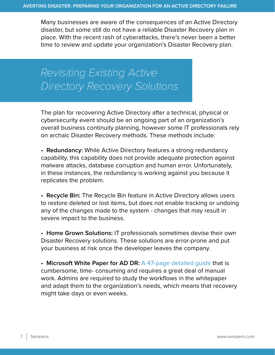Many businesses are aware of the consequences of an Active Directory disaster, but some still do not have a reliable Disaster Recovery plan in place. With the recent rash of cyberattacks, there's never been a better time to review and update your organization's Disaster Recovery plan.

*Revisiting Existing Active Directory Recovery Solutions*

The plan for recovering Active Directory after a technical, physical or cybersecurity event should be an ongoing part of an organization's overall business continuity planning, however some IT professionals rely on archaic Disaster Recovery methods. These methods include:

• **Redundancy:** While Active Directory features a strong redundancy capability, this capability does not provide adequate protection against malware attacks, database corruption and human error. Unfortunately, in these instances, the redundancy is working against you because it replicates the problem.

• **Recycle Bin:** The Recycle Bin feature in Active Directory allows users to restore deleted or lost items, but does not enable tracking or undoing any of the changes made to the system - changes that may result in severe impact to the business.

• **Home Grown Solutions:** IT professionals sometimes devise their own Disaster Recovery solutions. These solutions are error-prone and put your business at risk once the developer leaves the company.

• **Microsoft White Paper for AD DR: [A 47-page detailed guide](https://technet.microsoft.com/en-us/library/planning-active-directory-forest-recovery(v=ws.10).aspx) that is** cumbersome, time- consuming and requires a great deal of manual work. Admins are required to study the workflows in the whitepaper and adapt them to the organization's needs, which means that recovery might take days or even weeks.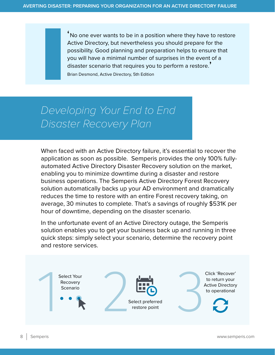'No one ever wants to be in a position where they have to restore Active Directory, but nevertheless you should prepare for the possibility. Good planning and preparation helps to ensure that you will have a minimal number of surprises in the event of a disaster scenario that requires you to perform a restore.' Brian Desmond, Active Directory, 5th Edition

# *Developing Your End to End Disaster Recovery Plan*

When faced with an Active Directory failure, it's essential to recover the application as soon as possible. Semperis provides the only 100% fullyautomated Active Directory Disaster Recovery solution on the market, enabling you to minimize downtime during a disaster and restore business operations. The Semperis Active Directory Forest Recovery solution automatically backs up your AD environment and dramatically reduces the time to restore with an entire Forest recovery taking, on average, 30 minutes to complete. That's a savings of roughly \$531K per hour of downtime, depending on the disaster scenario.

In the unfortunate event of an Active Directory outage, the Semperis solution enables you to get your business back up and running in three quick steps: simply select your scenario, determine the recovery point and restore services.